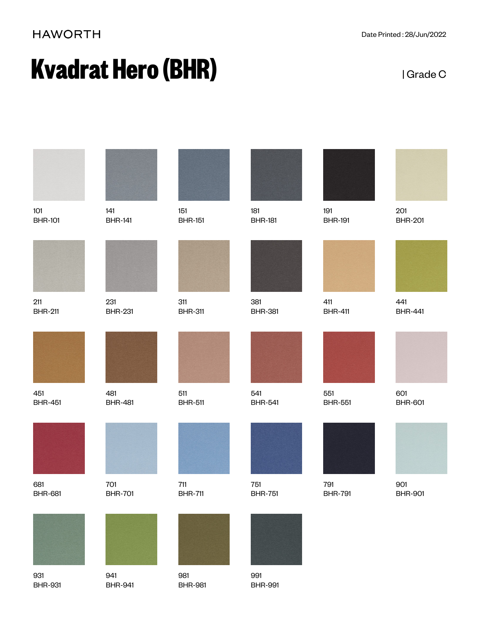## **HAWORTH**

# **Kvadrat Hero (BHR) Example 2** IGrade C

| 101                   | 141                   | 151                     | 181                   | 191                   | 201                   |
|-----------------------|-----------------------|-------------------------|-----------------------|-----------------------|-----------------------|
| <b>BHR-101</b>        | <b>BHR-141</b>        | <b>BHR-151</b>          | <b>BHR-181</b>        | <b>BHR-191</b>        | <b>BHR-201</b>        |
|                       |                       |                         |                       |                       |                       |
| 211<br><b>BHR-211</b> | 231<br><b>BHR-231</b> | 311<br><b>BHR-311</b>   | 381<br><b>BHR-381</b> | 411<br><b>BHR-411</b> | 441<br><b>BHR-441</b> |
|                       |                       |                         |                       |                       |                       |
| 451<br><b>BHR-451</b> | 481<br><b>BHR-481</b> | 511<br><b>BHR-511</b>   | 541<br><b>BHR-541</b> | 551<br><b>BHR-551</b> | 601<br><b>BHR-601</b> |
|                       |                       |                         |                       |                       |                       |
| 681<br><b>BHR-681</b> | 701<br><b>BHR-701</b> | $711$<br><b>BHR-711</b> | 751<br><b>BHR-751</b> | 791<br><b>BHR-791</b> | 901<br><b>BHR-901</b> |
|                       |                       |                         |                       |                       |                       |
| 931                   | 941                   | 981                     | 991                   |                       |                       |

BHR-991

931 BHR-931

BHR-941

BHR-981